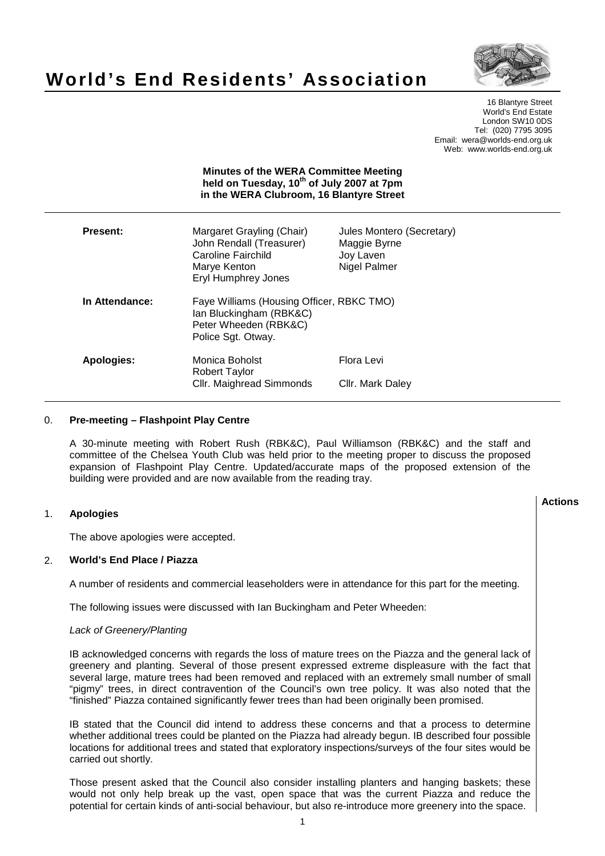

# **World's End Residents' Association**

16 Blantyre Street World's End Estate London SW10 0DS Tel: (020) 7795 3095 Email: wera@worlds-end.org.uk Web: www.worlds-end.org.uk

|                   | <b>Minutes of the WERA Committee Meeting</b><br>held on Tuesday, 10 <sup>th</sup> of July 2007 at 7pm<br>in the WERA Clubroom, 16 Blantyre Street |                                                                        |
|-------------------|---------------------------------------------------------------------------------------------------------------------------------------------------|------------------------------------------------------------------------|
| <b>Present:</b>   | Margaret Grayling (Chair)<br>John Rendall (Treasurer)<br>Caroline Fairchild<br>Marye Kenton<br><b>Eryl Humphrey Jones</b>                         | Jules Montero (Secretary)<br>Maggie Byrne<br>Joy Laven<br>Nigel Palmer |
| In Attendance:    | Faye Williams (Housing Officer, RBKC TMO)<br>Ian Bluckingham (RBK&C)<br>Peter Wheeden (RBK&C)<br>Police Sgt. Otway.                               |                                                                        |
| <b>Apologies:</b> | Monica Boholst<br><b>Robert Taylor</b><br>Cllr. Maighread Simmonds                                                                                | Flora Levi<br>Cllr. Mark Daley                                         |

## 0. **Pre-meeting – Flashpoint Play Centre**

A 30-minute meeting with Robert Rush (RBK&C), Paul Williamson (RBK&C) and the staff and committee of the Chelsea Youth Club was held prior to the meeting proper to discuss the proposed expansion of Flashpoint Play Centre. Updated/accurate maps of the proposed extension of the building were provided and are now available from the reading tray.

#### **Lactions のことには、このことにより、このことにより、このことになります。 そのことには、このことにより、このことにより、このことになります。 そのことには、このことにより、このことには、このことにより、このことにより、このことにより、このことにより、このことにより、このことにより、このことにより、このことにより、このことにより、このことにより、このことにより、このことにより、このことにより、このことによっていることになっ** 1. **Apologies**

The above apologies were accepted.

## 2. **World's End Place / Piazza**

A number of residents and commercial leaseholders were in attendance for this part for the meeting.

The following issues were discussed with Ian Buckingham and Peter Wheeden:

## Lack of Greenery/Planting

IB acknowledged concerns with regards the loss of mature trees on the Piazza and the general lack of greenery and planting. Several of those present expressed extreme displeasure with the fact that several large, mature trees had been removed and replaced with an extremely small number of small "pigmy" trees, in direct contravention of the Council's own tree policy. It was also noted that the "finished" Piazza contained significantly fewer trees than had been originally been promised.

IB stated that the Council did intend to address these concerns and that a process to determine whether additional trees could be planted on the Piazza had already begun. IB described four possible locations for additional trees and stated that exploratory inspections/surveys of the four sites would be carried out shortly.

Those present asked that the Council also consider installing planters and hanging baskets; these would not only help break up the vast, open space that was the current Piazza and reduce the potential for certain kinds of anti-social behaviour, but also re-introduce more greenery into the space.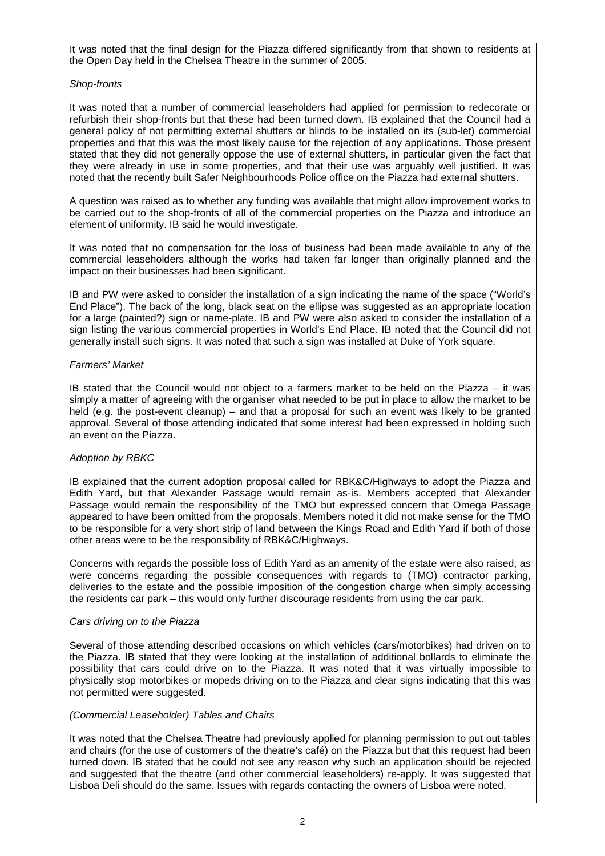It was noted that the final design for the Piazza differed significantly from that shown to residents at the Open Day held in the Chelsea Theatre in the summer of 2005.

## Shop-fronts

It was noted that a number of commercial leaseholders had applied for permission to redecorate or refurbish their shop-fronts but that these had been turned down. IB explained that the Council had a general policy of not permitting external shutters or blinds to be installed on its (sub-let) commercial properties and that this was the most likely cause for the rejection of any applications. Those present stated that they did not generally oppose the use of external shutters, in particular given the fact that they were already in use in some properties, and that their use was arguably well justified. It was noted that the recently built Safer Neighbourhoods Police office on the Piazza had external shutters.

A question was raised as to whether any funding was available that might allow improvement works to be carried out to the shop-fronts of all of the commercial properties on the Piazza and introduce an element of uniformity. IB said he would investigate.

It was noted that no compensation for the loss of business had been made available to any of the commercial leaseholders although the works had taken far longer than originally planned and the impact on their businesses had been significant.

IB and PW were asked to consider the installation of a sign indicating the name of the space ("World's End Place"). The back of the long, black seat on the ellipse was suggested as an appropriate location for a large (painted?) sign or name-plate. IB and PW were also asked to consider the installation of a sign listing the various commercial properties in World's End Place. IB noted that the Council did not generally install such signs. It was noted that such a sign was installed at Duke of York square.

## Farmers' Market

IB stated that the Council would not object to a farmers market to be held on the Piazza – it was simply a matter of agreeing with the organiser what needed to be put in place to allow the market to be held (e.g. the post-event cleanup) – and that a proposal for such an event was likely to be granted approval. Several of those attending indicated that some interest had been expressed in holding such an event on the Piazza.

## Adoption by RBKC

IB explained that the current adoption proposal called for RBK&C/Highways to adopt the Piazza and Edith Yard, but that Alexander Passage would remain as-is. Members accepted that Alexander Passage would remain the responsibility of the TMO but expressed concern that Omega Passage appeared to have been omitted from the proposals. Members noted it did not make sense for the TMO to be responsible for a very short strip of land between the Kings Road and Edith Yard if both of those other areas were to be the responsibility of RBK&C/Highways.

Concerns with regards the possible loss of Edith Yard as an amenity of the estate were also raised, as were concerns regarding the possible consequences with regards to (TMO) contractor parking, deliveries to the estate and the possible imposition of the congestion charge when simply accessing the residents car park – this would only further discourage residents from using the car park.

#### Cars driving on to the Piazza

Several of those attending described occasions on which vehicles (cars/motorbikes) had driven on to the Piazza. IB stated that they were looking at the installation of additional bollards to eliminate the possibility that cars could drive on to the Piazza. It was noted that it was virtually impossible to physically stop motorbikes or mopeds driving on to the Piazza and clear signs indicating that this was not permitted were suggested.

## (Commercial Leaseholder) Tables and Chairs

It was noted that the Chelsea Theatre had previously applied for planning permission to put out tables and chairs (for the use of customers of the theatre's café) on the Piazza but that this request had been turned down. IB stated that he could not see any reason why such an application should be rejected and suggested that the theatre (and other commercial leaseholders) re-apply. It was suggested that Lisboa Deli should do the same. Issues with regards contacting the owners of Lisboa were noted.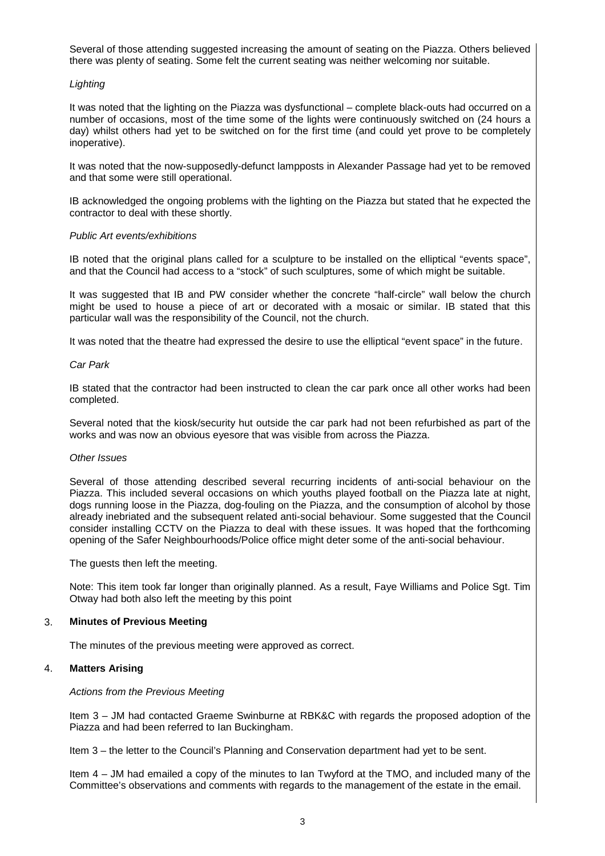Several of those attending suggested increasing the amount of seating on the Piazza. Others believed there was plenty of seating. Some felt the current seating was neither welcoming nor suitable.

## **Lighting**

It was noted that the lighting on the Piazza was dysfunctional – complete black-outs had occurred on a number of occasions, most of the time some of the lights were continuously switched on (24 hours a day) whilst others had yet to be switched on for the first time (and could yet prove to be completely inoperative).

It was noted that the now-supposedly-defunct lampposts in Alexander Passage had yet to be removed and that some were still operational.

IB acknowledged the ongoing problems with the lighting on the Piazza but stated that he expected the contractor to deal with these shortly.

## Public Art events/exhibitions

IB noted that the original plans called for a sculpture to be installed on the elliptical "events space", and that the Council had access to a "stock" of such sculptures, some of which might be suitable.

It was suggested that IB and PW consider whether the concrete "half-circle" wall below the church might be used to house a piece of art or decorated with a mosaic or similar. IB stated that this particular wall was the responsibility of the Council, not the church.

It was noted that the theatre had expressed the desire to use the elliptical "event space" in the future.

## Car Park

IB stated that the contractor had been instructed to clean the car park once all other works had been completed.

Several noted that the kiosk/security hut outside the car park had not been refurbished as part of the works and was now an obvious eyesore that was visible from across the Piazza.

## Other Issues

Several of those attending described several recurring incidents of anti-social behaviour on the Piazza. This included several occasions on which youths played football on the Piazza late at night, dogs running loose in the Piazza, dog-fouling on the Piazza, and the consumption of alcohol by those already inebriated and the subsequent related anti-social behaviour. Some suggested that the Council consider installing CCTV on the Piazza to deal with these issues. It was hoped that the forthcoming opening of the Safer Neighbourhoods/Police office might deter some of the anti-social behaviour.

The guests then left the meeting.

Note: This item took far longer than originally planned. As a result, Faye Williams and Police Sgt. Tim Otway had both also left the meeting by this point

# 3. **Minutes of Previous Meeting**

The minutes of the previous meeting were approved as correct.

# 4. **Matters Arising**

## Actions from the Previous Meeting

Item 3 – JM had contacted Graeme Swinburne at RBK&C with regards the proposed adoption of the Piazza and had been referred to Ian Buckingham.

Item 3 – the letter to the Council's Planning and Conservation department had yet to be sent.

Item 4 – JM had emailed a copy of the minutes to Ian Twyford at the TMO, and included many of the Committee's observations and comments with regards to the management of the estate in the email.